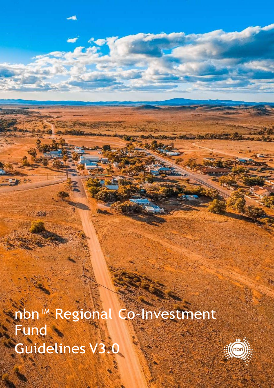nbn™ Regional Co-Investment **Fund** Guidelines V3.0

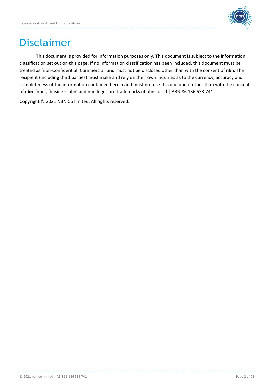

# Disclaimer

This document is provided for information purposes only. This document is subject to the information classification set out on this page. If no information classification has been included, this document must be treated as 'nbn-Confidential: Commercial' and must not be disclosed other than with the consent of **nbn**. The recipient (including third parties) must make and rely on their own inquiries as to the currency, accuracy and completeness of the information contained herein and must not use this document other than with the consent of **nbn**. 'nbn', 'business nbn' and nbn logos are trademarks of nbn co ltd | ABN 86 136 533 741

Copyright © 2021 NBN Co limited. All rights reserved.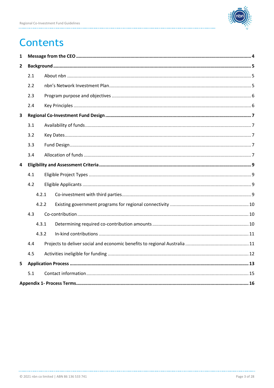. . . . . . . . . . . . . . .



# **Contents**

| 1              |       |  |  |  |  |
|----------------|-------|--|--|--|--|
| $\overline{2}$ |       |  |  |  |  |
|                | 2.1   |  |  |  |  |
|                | 2.2   |  |  |  |  |
|                | 2.3   |  |  |  |  |
|                | 2.4   |  |  |  |  |
| 3              |       |  |  |  |  |
|                | 3.1   |  |  |  |  |
| 3.2            |       |  |  |  |  |
|                | 3.3   |  |  |  |  |
|                | 3.4   |  |  |  |  |
| 4              |       |  |  |  |  |
|                | 4.1   |  |  |  |  |
|                | 4.2   |  |  |  |  |
|                | 4.2.1 |  |  |  |  |
|                | 4.2.2 |  |  |  |  |
|                | 4.3   |  |  |  |  |
|                | 4.3.1 |  |  |  |  |
|                | 4.3.2 |  |  |  |  |
|                | 4.4   |  |  |  |  |
| 4.5            |       |  |  |  |  |
| 5              |       |  |  |  |  |
|                | 5.1   |  |  |  |  |
|                |       |  |  |  |  |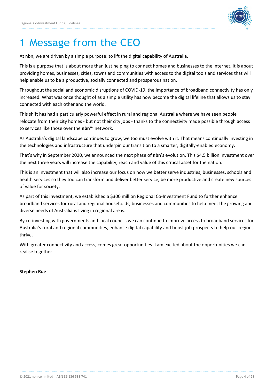

# <span id="page-3-0"></span>1 Message from the CEO

At nbn, we are driven by a simple purpose: to lift the digital capability of Australia.

This is a purpose that is about more than just helping to connect homes and businesses to the internet. It is about providing homes, businesses, cities, towns and communities with access to the digital tools and services that will help enable us to be a productive, socially connected and prosperous nation.

Throughout the social and economic disruptions of COVID-19, the importance of broadband connectivity has only increased. What was once thought of as a simple utility has now become the digital lifeline that allows us to stay connected with each other and the world.

This shift has had a particularly powerful effect in rural and regional Australia where we have seen people relocate from their city homes - but not their city jobs - thanks to the connectivity made possible through access to services like those over the **nbn**™ network.

As Australia's digital landscape continues to grow, we too must evolve with it. That means continually investing in the technologies and infrastructure that underpin our transition to a smarter, digitally-enabled economy.

That's why in September 2020, we announced the next phase of **nbn**'s evolution. This \$4.5 billion investment over the next three years will increase the capability, reach and value of this critical asset for the nation.

This is an investment that will also increase our focus on how we better serve industries, businesses, schools and health services so they too can transform and deliver better service, be more productive and create new sources of value for society.

As part of this investment, we established a \$300 million Regional Co-Investment Fund to further enhance broadband services for rural and regional households, businesses and communities to help meet the growing and diverse needs of Australians living in regional areas.

By co-investing with governments and local councils we can continue to improve access to broadband services for Australia's rural and regional communities, enhance digital capability and boost job prospects to help our regions thrive.

With greater connectivity and access, comes great opportunities. I am excited about the opportunities we can realise together.

#### **Stephen Rue**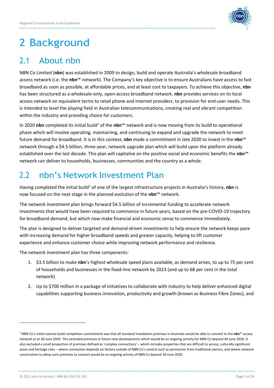

# <span id="page-4-0"></span>2 Background

# <span id="page-4-1"></span>2.1 About nbn

NBN Co Limited (**nbn**) was established in 2009 to design, build and operate Australia's wholesale broadband access network (i.e. the **nbn**™ network). The Company's key objective is to ensure Australians have access to fast broadband as soon as possible, at affordable prices, and at least cost to taxpayers. To achieve this objective, **nbn** has been structured as a wholesale-only, open-access broadband network. **nbn** provides services on its local access network on equivalent terms to retail phone and internet providers, to provision for end-user needs. This is intended to level the playing field in Australian telecommunications, creating real and vibrant competition within the industry and providing choice for customers.

In 2020 nbn completed its initial build<sup>1</sup> of the nbn™ network and is now moving from its build to operational phase which will involve operating, maintaining, and continuing to expand and upgrade the network to meet future demand for broadband. It is in this context, **nbn** made a commitment in late 2020 to invest in the **nbn**™ network through a \$4.5 billion, three-year, network upgrade plan which will build upon the platform already established over the last decade. This plan will capitalise on the positive social and economic benefits the **nbn**™ network can deliver to households, businesses, communities and the country as a whole.

# <span id="page-4-2"></span>2.2 nbn's Network Investment Plan

Having completed the initial build<sup>1</sup> of one of the largest infrastructure projects in Australia's history, nbn is now focused on the next stage in the planned evolution of the **nbn**™ network.

The network investment plan brings forward \$4.5 billion of incremental funding to accelerate network investments that would have been required to commence in future years, based on the pre-COVID-19 trajectory for broadband demand, but which now make financial and economic sense to commence immediately.

The plan is designed to deliver targeted and demand-driven investments to help ensure the network keeps pace with increasing demand for higher broadband speeds and greater capacity, helping to lift customer experience and enhance customer choice while improving network performance and resilience.

The network investment plan has three components:

- 1. \$3.5 billion to make **nbn**'s highest wholesale speed plans available, as demand arises, to up to 75 per cent of households and businesses in the fixed-line network by 2023 (and up to 68 per cent in the total network)
- 2. Up to \$700 million in a package of initiatives to collaborate with industry to help deliver enhanced digital capabilities supporting business innovation, productivity and growth (known as Business Fibre Zones), and

<sup>1</sup> NBN Co's initial volume build completion commitment was that all standard installation premises in Australia would be able to connect to the **nbn**™ access network as at 30 June 2020. This excluded premises in future new developments which would be an ongoing activity for NBN Co beyond 30 June 2020. It also excluded a small proportion of premises defined as 'complex connections' – which includes properties that are difficult to access, culturally significant areas and heritage sites – where connection depends on factors outside of NBN Co's control such as permission from traditional owners, and where network construction to allow such premises to connect would be an ongoing activity of NBN Co beyond 30 June 2020.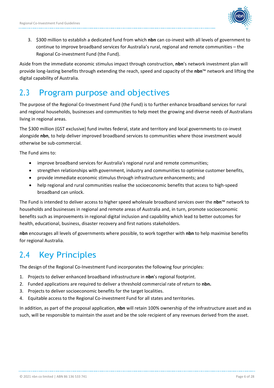

3. \$300 million to establish a dedicated fund from which **nbn** can co-invest with all levels of government to continue to improve broadband services for Australia's rural, regional and remote communities – the Regional Co-investment Fund (the Fund).

Aside from the immediate economic stimulus impact through construction, **nbn**'s network investment plan will provide long-lasting benefits through extending the reach, speed and capacity of the **nbn**™ network and lifting the digital capability of Australia.

# <span id="page-5-0"></span>2.3 Program purpose and objectives

The purpose of the Regional Co-Investment Fund (the Fund) is to further enhance broadband services for rural and regional households, businesses and communities to help meet the growing and diverse needs of Australians living in regional areas.

The \$300 million (GST exclusive) fund invites federal, state and territory and local governments to co-invest alongside **nbn**, to help deliver improved broadband services to communities where those investment would otherwise be sub-commercial.

The Fund aims to:

- improve broadband services for Australia's regional rural and remote communities;
- strengthen relationships with government, industry and communities to optimise customer benefits,
- provide immediate economic stimulus through infrastructure enhancements; and
- help regional and rural communities realise the socioeconomic benefits that access to high-speed broadband can unlock.

The Fund is intended to deliver access to higher speed wholesale broadband services over the **nbn**™ network to households and businesses in regional and remote areas of Australia and, in turn, promote socioeconomic benefits such as improvements in regional digital inclusion and capability which lead to better outcomes for health, educational, business, disaster recovery and first nations stakeholders.

**nbn** encourages all levels of governments where possible, to work together with **nbn** to help maximise benefits for regional Australia.

# <span id="page-5-1"></span>2.4 Key Principles

The design of the Regional Co-Investment Fund incorporates the following four principles:

- 1. Projects to deliver enhanced broadband infrastructure in **nbn**'s regional footprint.
- 2. Funded applications are required to deliver a threshold commercial rate of return to **nbn.**
- 3. Projects to deliver socioeconomic benefits for the target localities.
- 4. Equitable access to the Regional Co-investment Fund for all states and territories.

In addition, as part of the proposal application, **nbn** will retain 100% ownership of the infrastructure asset and as such, will be responsible to maintain the asset and be the sole recipient of any revenues derived from the asset.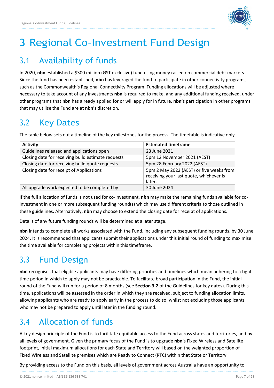

# <span id="page-6-0"></span>3 Regional Co-Investment Fund Design

# <span id="page-6-1"></span>3.1 Availability of funds

In 2020, **nbn** established a \$300 million (GST exclusive) fund using money raised on commercial debt markets. Since the fund has been established, **nbn** has leveraged the fund to participate in other connectivity programs, such as the Commonwealth's Regional Connectivity Program. Funding allocations will be adjusted where necessary to take account of any investments **nbn** is required to make, and any additional funding received, under other programs that **nbn** has already applied for or will apply for in future. **nbn**'s participation in other programs that may utilise the Fund are at **nbn**'s discretion.

# <span id="page-6-2"></span>3.2 Key Dates

The table below sets out a timeline of the key milestones for the process. The timetable is indicative only.

| <b>Activity</b>                                    | <b>Estimated timeframe</b>                                                                    |
|----------------------------------------------------|-----------------------------------------------------------------------------------------------|
| Guidelines released and applications open          | 23 June 2021                                                                                  |
| Closing date for receiving build estimate requests | 5pm 12 November 2021 (AEST)                                                                   |
| Closing date for receiving build quote requests    | 5pm 28 February 2022 (AEST)                                                                   |
| Closing date for receipt of Applications           | 5pm 2 May 2022 (AEST) or five weeks from<br>receiving your last quote, whichever is<br>later. |
| All upgrade work expected to be completed by       | 30 June 2024                                                                                  |

If the full allocation of funds is not used for co-investment, **nbn** may make the remaining funds available for coinvestment in one or more subsequent funding round(s) which may use different criteria to those outlined in these guidelines. Alternatively, **nbn** may choose to extend the closing date for receipt of applications.

Details of any future funding rounds will be determined at a later stage.

**nbn** intends to complete all works associated with the Fund, including any subsequent funding rounds, by 30 June 2024. It is recommended that applicants submit their applications under this initial round of funding to maximise the time available for completing projects within this timeframe.

# <span id="page-6-3"></span>3.3 Fund Design

**nbn** recognises that eligible applicants may have differing priorities and timelines which mean adhering to a tight time period in which to apply may not be practicable. To facilitate broad participation in the Fund, the initial round of the Fund will run for a period of 8 months (see **Section 3.2** of the Guidelines for key dates). During this time, applications will be assessed in the order in which they are received, subject to funding allocation limits, allowing applicants who are ready to apply early in the process to do so, whilst not excluding those applicants who may not be prepared to apply until later in the funding round.

# <span id="page-6-4"></span>3.4 Allocation of funds

A key design principle of the Fund is to facilitate equitable access to the Fund across states and territories, and by all levels of government. Given the primary focus of the Fund is to upgrade **nbn**'s Fixed Wireless and Satellite footprint, initial maximum allocations for each State and Territory will based on the weighted proportion of Fixed Wireless and Satellite premises which are Ready to Connect (RTC) within that State or Territory.

By providing access to the Fund on this basis, all levels of government across Australia have an opportunity to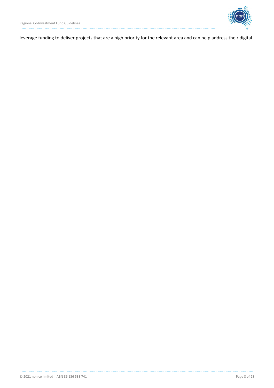

leverage funding to deliver projects that are a high priority for the relevant area and can help address their digital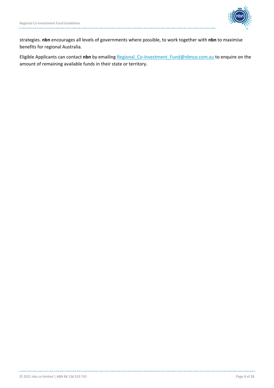

strategies. **nbn** encourages all levels of governments where possible, to work together with **nbn** to maximise benefits for regional Australia.

Eligible Applicants can contact **nbn** by emailing [Regional\\_Co-Investment\\_Fund@nbnco.com.au](mailto:Regional_Co-Investment_Fund@nbnco.com.au) to enquire on the amount of remaining available funds in their state or territory.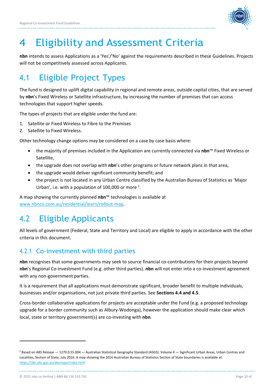

# <span id="page-9-0"></span>4 Eligibility and Assessment Criteria

**nbn** intends to assess Applications as a 'Yes'/'No' against the requirements described in these Guidelines. Projects will not be competitively assessed across Applicants.

# <span id="page-9-1"></span>4.1 Eligible Project Types

The fund is designed to uplift digital capability in regional and remote areas, outside capital cities, that are served by **nbn**'s Fixed Wireless or Satellite infrastructure, by increasing the number of premises that can access technologies that support higher speeds.

The types of projects that are eligible under the fund are:

- 1. Satellite or Fixed Wireless to Fibre to the Premises
- 2. Satellite to Fixed Wireless.

Other technology change options may be considered on a case by case basis where:

- the majority of premises included in the Application are currently connected via **nbn**™ Fixed Wireless or Satellite,
- the upgrade does not overlap with **nbn**'s other programs or future network plans in that area,
- the upgrade would deliver significant community benefit; and
- the project is not located in any Urban Centre classified by the Australian Bureau of Statistics as 'Major Urban', i.e. with a population of 100,000 or more  $2$ .

A map showing the currently planned **nbn**™ technologies is available at [www.nbnco.com.au/residential/learn/rollout-map.](http://www.nbnco.com.au/residential/learn/rollout-map)

# <span id="page-9-2"></span>4.2 Eligible Applicants

All levels of government (Federal, State and Territory and Local) are eligible to apply in accordance with the other criteria in this document.

### <span id="page-9-3"></span>4.2.1 Co-investment with third parties

**nbn** recognises that some governments may seek to source financial co-contributions for their projects beyond **nbn**'s Regional Co-investment Fund (e.g. other third parties). **nbn** will not enter into a co-investment agreement with any non-government parties.

It is a requirement that all applications must demonstrate significant, broader benefit to multiple individuals, businesses and/or organisations, not just private third parties. See **Sections 4.4 and 4.5**.

Cross-border collaborative applications for projects are acceptable under the Fund (e.g. a proposed technology upgrade for a border community such as Albury-Wodonga), however the application should make clear which local, state or territory government(s) are co-investing with **nbn**.

<sup>&</sup>lt;sup>2</sup> Based on ABS Release — 1270.0.55.004 — Australian Statistical Geography Standard (ASGS): Volume 4 — Significant Urban Areas, Urban Centres and Localities, Section of State, July 2016. A map showing the 2016 Australian Bureau of Statistics Section of State boundaries is available at: https://dbr.abs.gov.au/absmaps/index.html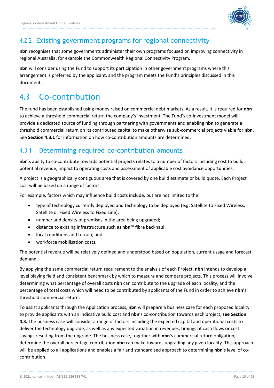

#### <span id="page-10-0"></span>4.2.2 Existing government programs for regional connectivity

**nbn** recognises that some governments administer their own programs focused on improving connectivity in regional Australia, for example the Commonwealth Regional Connectivity Program.

**nbn** will consider using the Fund to support its participation in other government programs where this arrangement is preferred by the applicant, and the program meets the Fund's principles discussed in this document.

# <span id="page-10-1"></span>4.3 Co-contribution

The fund has been established using money raised on commercial debt markets. As a result, it is required for **nbn** to achieve a threshold commercial return the company's investment. The Fund's co-investment model will provide a dedicated source of funding through partnering with governments and enabling **nbn** to generate a threshold commercial return on its contributed capital to make otherwise sub-commercial projects viable for **nbn**. See **Section 4.3.1** for information on how co-contribution amounts are determined.

### <span id="page-10-2"></span>4.3.1 Determining required co-contribution amounts

**nbn**'s ability to co-contribute towards potential projects relates to a number of factors including cost to build, potential revenue, impact to operating costs and assessment of applicable cost avoidance opportunities.

A project is a geographically contiguous area that is covered by one build estimate or build quote. Each Project cost will be based on a range of factors.

For example, factors which may influence build costs include, but are not limited to the:

- type of technology currently deployed and technology to be deployed (e.g. Satellite to Fixed Wireless, Satellite or Fixed Wireless to Fixed Line);
- number and density of premises in the area being upgraded;
- distance to existing infrastructure such as **nbn™** fibre backhaul;
- local conditions and terrain; and
- workforce mobilisation costs.

The potential revenue will be relatively defined and understood based on population, current usage and forecast demand.

By applying the same commercial return requirement to the analysis of each Project, **nbn** intends to develop a level playing field and consistent benchmark by which to measure and compare projects. This process will involve determining what percentage of overall costs **nbn** can contribute to the upgrade of each locality, and the percentage of total costs which will need to be contributed by applicants of the Fund in order to achieve **nbn**'s threshold commercial return.

To assist applicants through the Application process, **nbn** will prepare a business case for each proposed locality to provide applicants with an indicative build cost and **nbn**'s co-contribution towards each project, **see Section 4.3.** The business case will consider a range of factors including the expected capital and operational costs to deliver the technology upgrade, as well as any expected variation in revenues, timings of cash flows or cost savings resulting from the upgrade. The business case, together with **nbn**'s commercial return obligation, determine the overall percentage contribution **nbn** can make towards upgrading any given locality. This approach will be applied to all applications and enables a fair and standardised approach to determining **nbn**'s level of cocontribution.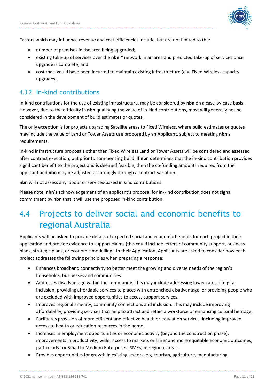

Factors which may influence revenue and cost efficiencies include, but are not limited to the:

- number of premises in the area being upgraded;
- existing take-up of services over the **nbn™** network in an area and predicted take-up of services once upgrade is complete; and
- cost that would have been incurred to maintain existing infrastructure (e.g. Fixed Wireless capacity upgrades).

#### <span id="page-11-0"></span>4.3.2 In-kind contributions

In-kind contributions for the use of existing infrastructure, may be considered by **nbn** on a case-by-case basis. However, due to the difficulty in **nbn** qualifying the value of in-kind contributions, most will generally not be considered in the development of build estimates or quotes.

The only exception is for projects upgrading Satellite areas to Fixed Wireless, where build estimates or quotes may include the value of Land or Tower Assets use proposed by an Applicant, subject to meeting **nbn**'s requirements.

In-kind infrastructure proposals other than Fixed Wireless Land or Tower Assets will be considered and assessed after contract execution, but prior to commencing build. If **nbn** determines that the in-kind contribution provides significant benefit to the project and is deemed feasible, then the co-funding amounts required from the applicant and **nbn** may be adjusted accordingly through a contract variation.

**nbn** will not assess any labour or services-based in kind contributions.

Please note, **nbn**'s acknowledgement of an applicant's proposal for in-kind contribution does not signal commitment by **nbn** that it will use the proposed in-kind contribution.

# <span id="page-11-1"></span>4.4 Projects to deliver social and economic benefits to regional Australia

Applicants will be asked to provide details of expected social and economic benefits for each project in their application and provide evidence to support claims (this could include letters of community support, business plans, strategic plans, or economic modelling). In their Application, Applicants are asked to consider how each project addresses the following principles when preparing a response:

- Enhances broadband connectivity to better meet the growing and diverse needs of the region's households, businesses and communities
- Addresses disadvantage within the community. This may include addressing lower rates of digital inclusion, providing affordable services to places with entrenched disadvantage, or providing people who are excluded with improved opportunities to access support services.
- Improves regional amenity, community connections and inclusion. This may include improving affordability, providing services that help to attract and retain a workforce or enhancing cultural heritage.
- Facilitates provision of more efficient and effective health or education services, including improved access to health or education resources in the home.
- Increases in employment opportunities or economic activity (beyond the construction phase), improvements in productivity, wider access to markets or fairer and more equitable economic outcomes, particularly for Small to Medium Enterprises (SMEs) in regional areas.
- Provides opportunities for growth in existing sectors, e.g. tourism, agriculture, manufacturing.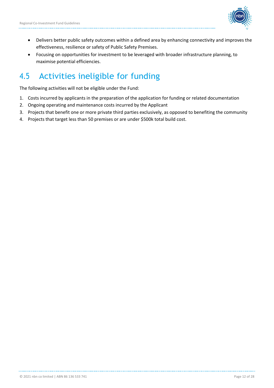

- Delivers better public safety outcomes within a defined area by enhancing connectivity and improves the effectiveness, resilience or safety of Public Safety Premises.
- Focusing on opportunities for investment to be leveraged with broader infrastructure planning, to maximise potential efficiencies.

# <span id="page-12-0"></span>4.5 Activities ineligible for funding

The following activities will not be eligible under the Fund:

- 1. Costs incurred by applicants in the preparation of the application for funding or related documentation
- 2. Ongoing operating and maintenance costs incurred by the Applicant
- 3. Projects that benefit one or more private third parties exclusively, as opposed to benefiting the community
- 4. Projects that target less than 50 premises or are under \$500k total build cost.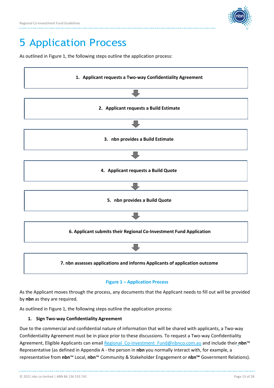

# <span id="page-13-0"></span>5 Application Process

As outlined in Figure 1, the following steps outline the application process:



#### **Figure 1 – Application Process**

As the Applicant moves through the process, any documents that the Applicant needs to fill out will be provided by **nbn** as they are required.

As outlined in Figure 1, the following steps outline the application process:

#### **1. Sign Two-way Confidentiality Agreement**

Due to the commercial and confidential nature of information that will be shared with applicants, a Two-way Confidentiality Agreement must be in place prior to these discussions. To request a Two-way Confidentiality Agreement, Eligible Applicants can email Regional Co-Investment Fund@nbnco.com.au and include their nbn<sup>™</sup> Representative (as defined in Appendix A - the person in **nbn** you normally interact with, for example, a representative from **nbn**™ Local, **nbn**™ Community & Stakeholder Engagement or **nbn™** Government Relations).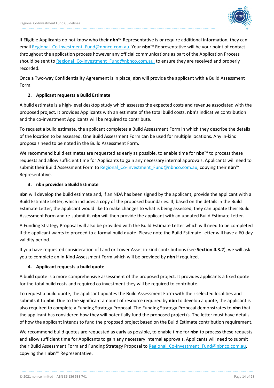

If Eligible Applicants do not know who their **nbn**™ Representative is or require additional information, they can emai[l Regional\\_Co-Investment\\_Fund@nbnco.com.au.](mailto:Regional_Co-Investment_Fund@nbnco.com.au) Your **nbn**™ Representative will be your point of contact throughout the application process however any official communications as part of the Application Process should be sent to Regional Co-Investment Fund@nbnco.com.au. to ensure they are received and properly recorded.

Once a Two-way Confidentiality Agreement is in place, **nbn** will provide the applicant with a Build Assessment Form.

#### **2. Applicant requests a Build Estimate**

A build estimate is a high-level desktop study which assesses the expected costs and revenue associated with the proposed project. It provides Applicants with an estimate of the total build costs, **nbn**'s indicative contribution and the co-investment Applicants will be required to contribute.

To request a build estimate, the applicant completes a Build Assessment Form in which they describe the details of the location to be assessed. One Build Assessment Form can be used for multiple locations. Any in-kind proposals need to be noted in the Build Assessment Form.

We recommend build estimates are requested as early as possible, to enable time for **nbn**™ to process these requests and allow sufficient time for Applicants to gain any necessary internal approvals. Applicants will need to submit their Build Assessment Form to [Regional\\_Co-Investment\\_Fund@nbnco.com.au, c](mailto:Regional_Co-Investment_Fund@nbnco.com.au)opying their **nbn**™ Representative.

#### **3. nbn provides a Build Estimate**

**nbn** will develop the build estimate and, if an NDA has been signed by the applicant, provide the applicant with a Build Estimate Letter, which includes a copy of the proposed boundaries. If, based on the details in the Build Estimate Letter, the applicant would like to make changes to what is being assessed, they can update their Build Assessment Form and re-submit it. **nbn** will then provide the applicant with an updated Build Estimate Letter.

A Funding Strategy Proposal will also be provided with the Build Estimate Letter which will need to be completed if the applicant wants to proceed to a formal build quote. Please note the Build Estimate Letter will have a 60-day validity period.

If you have requested consideration of Land or Tower Asset in-kind contributions (see **Section 4.3.2**), we will ask you to complete an In-Kind Assessment Form which will be provided by **nbn** if required.

#### **4. Applicant requests a build quote**

A build quote is a more comprehensive assessment of the proposed project. It provides applicants a fixed quote for the total build costs and required co investment they will be required to contribute.

To request a build quote, the applicant updates the Build Assessment Form with their selected localities and submits it to **nbn**. Due to the significant amount of resource required by **nbn** to develop a quote, the applicant is also required to complete a Funding Strategy Proposal. The Funding Strategy Proposal demonstrates to **nbn** that the applicant has considered how they will potentially fund the proposed project/s. The letter must have details of how the applicant intends to fund the proposed project based on the Build Estimate contribution requirement.

We recommend build quotes are requested as early as possible, to enable time for **nbn** to process these requests and allow sufficient time for Applicants to gain any necessary internal approvals. Applicants will need to submit their Build Assessment Form and Funding Strategy Proposal to Regional Co-Investment Fund@nbnco.com.au, copying their **nbn**™ Representative.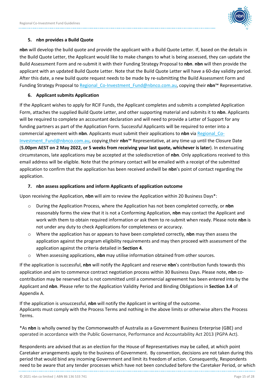

#### **5. nbn provides a Build Quote**

**nbn** will develop the build quote and provide the applicant with a Build Quote Letter. If, based on the details in the Build Quote Letter, the Applicant would like to make changes to what is being assessed, they can update the Build Assessment Form and re-submit it with their Funding Strategy Proposal to **nbn**. **nbn** will then provide the applicant with an updated Build Quote Letter. Note that the Build Quote Letter will have a 60-day validity period. After this date, a new build quote request needs to be made by re-submitting the Build Assessment Form and Funding Strategy Proposal to [Regional\\_Co-Investment\\_Fund@nbnco.com.au, c](mailto:Regional_Co-Investment_Fund@nbnco.com.au)opying their **nbn**™ Representative.

#### **6. Applicant submits Application**

If the Applicant wishes to apply for RCIF Funds, the Applicant completes and submits a completed Application Form, attaches the supplied Build Quote Letter, and other supporting material and submits it to **nbn**. Applicants will be required to complete an accountant declaration and will need to provide a Letter of Support for any funding partners as part of the Application Form. Successful Applicants will be required to enter into a commercial agreement with **nbn**. Applicants must submit their applications to **nbn** via Regional\_Co-[Investment\\_Fund@nbnco.com.au, c](mailto:Investment_Fund@nbnco.com.au)opying their **nbn**™ Representative, at any time up until the Closure Date (**5.00pm AEST on 2 May 2022, or 5 weeks from receiving your last quote, whichever is later**). In extenuating circumstances, late applications may be accepted at the solediscretion of **nbn**. Only applications received to this email address will be eligible. Note that the primary contact will be emailed with a receipt of the submitted application to confirm that the application has been received and will be **nbn**'s point of contact regarding the application.

#### **7. nbn assess applications and inform Applicants of application outcome**

Upon receiving the Application, **nbn** will aim to review the Application within 20 Business Days\*:

- o During the Application Process, where the Application has not been completed correctly, or **nbn** reasonably forms the view that it is not a Conforming Application, **nbn** may contact the Applicant and work with them to obtain required information or ask them to re-submit when ready. Please note **nbn** is not under any duty to check Applications for completeness or accuracy.
- o Where the application has or appears to have been completed correctly, **nbn** may then assess the application against the program eligibility requirements and may then proceed with assessment of the application against the criteria detailed in **Section 4**.
- o When assessing applications, **nbn** may utilise information obtained from other sources.

If the application is successful, **nbn** will notify the Applicant and reserve **nbn**'s contribution funds towards this application and aim to commence contract negotiation process within 30 Business Days. Please note, **nbn** cocontribution may be reserved but is not committed until a commercial agreement has been entered into by the Applicant and **nbn**. Please refer to the Application Validity Period and Binding Obligations in **Section 3.4** of Appendix A.

If the application is unsuccessful, **nbn** will notify the Applicant in writing of the outcome. Applicants must comply with the Process Terms and nothing in the above limits or otherwise alters the Process Terms.

\*As **nbn** is wholly owned by the Commonwealth of Australia as a Government Business Enterprise (GBE) and operated in accordance with the Public Governance, Performance and Accountability Act 2013 (PGPA Act).

Respondents are advised that as an election for the House of Representatives may be called, at which point Caretaker arrangements apply to the business of Government. By convention, decisions are not taken during this period that would bind any incoming Government and limit its freedom of action. Consequently, Respondents need to be aware that any tender processes which have not been concluded before the Caretaker Period, or which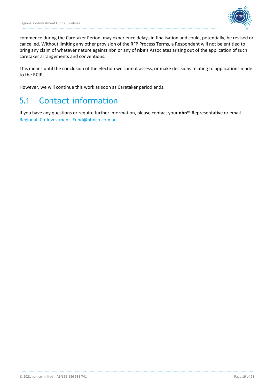

commence during the Caretaker Period, may experience delays in finalisation and could, potentially, be revised or cancelled. Without limiting any other provision of the RFP Process Terms, a Respondent will not be entitled to bring any claim of whatever nature against nbn or any of **nbn**'s Associates arising out of the application of such caretaker arrangements and conventions.

This means until the conclusion of the election we cannot assess, or make decisions relating to applications made to the RCIF.

However, we will continue this work as soon as Caretaker period ends.

# <span id="page-16-0"></span>5.1 Contact information

If you have any questions or require further information, please contact your **nbn**™ Representative or email Regional Co-Investment Fund@nbnco.com.au.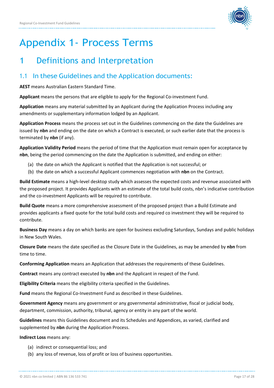

# <span id="page-17-0"></span>Appendix 1- Process Terms

## 1 Definitions and Interpretation

### 1.1 In these Guidelines and the Application documents:

**AEST** means Australian Eastern Standard Time.

**Applicant** means the persons that are eligible to apply for the Regional Co-investment Fund.

**Application** means any material submitted by an Applicant during the Application Process including any amendments or supplementary information lodged by an Applicant.

**Application Process** means the process set out in the Guidelines commencing on the date the Guidelines are issued by **nbn** and ending on the date on which a Contract is executed, or such earlier date that the process is terminated by **nbn** (if any).

**Application Validity Period** means the period of time that the Application must remain open for acceptance by **nbn**, being the period commencing on the date the Application is submitted, and ending on either:

- (a) the date on which the Applicant is notified that the Application is not successful; or
- (b) the date on which a successful Applicant commences negotiation with **nbn** on the Contract.

**Build Estimate** means a high-level desktop study which assesses the expected costs and revenue associated with the proposed project. It provides Applicants with an estimate of the total build costs, nbn's indicative contribution and the co-investment Applicants will be required to contribute.

**Build Quote** means a more comprehensive assessment of the proposed project than a Build Estimate and provides applicants a fixed quote for the total build costs and required co investment they will be required to contribute.

**Business Day** means a day on which banks are open for business excluding Saturdays, Sundays and public holidays in New South Wales.

**Closure Date** means the date specified as the Closure Date in the Guidelines, as may be amended by **nbn** from time to time.

**Conforming Application** means an Application that addresses the requirements of these Guidelines.

**Contract** means any contract executed by **nbn** and the Applicant in respect of the Fund.

**Eligibility Criteria** means the eligibility criteria specified in the Guidelines.

**Fund** means the Regional Co-Investment Fund as described in these Guidelines.

**Government Agency** means any government or any governmental administrative, fiscal or judicial body, department, commission, authority, tribunal, agency or entity in any part of the world.

**Guidelines** means this Guidelines document and its Schedules and Appendices, as varied, clarified and supplemented by **nbn** during the Application Process.

**Indirect Loss** means any:

- (a) indirect or consequential loss; and
- (b) any loss of revenue, loss of profit or loss of business opportunities.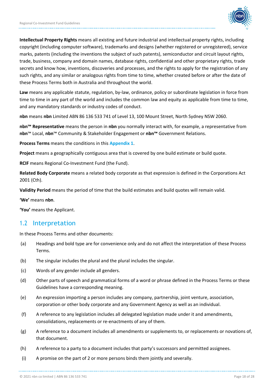

**Intellectual Property Rights** means all existing and future industrial and intellectual property rights, including copyright (including computer software), trademarks and designs (whether registered or unregistered), service marks, patents (including the inventions the subject of such patents), semiconductor and circuit layout rights, trade, business, company and domain names, database rights, confidential and other proprietary rights, trade secrets and know how, inventions, discoveries and processes, and the rights to apply for the registration of any such rights, and any similar or analogous rights from time to time, whether created before or after the date of these Process Terms both in Australia and throughout the world.

**Law** means any applicable statute, regulation, by-law, ordinance, policy or subordinate legislation in force from time to time in any part of the world and includes the common law and equity as applicable from time to time, and any mandatory standards or industry codes of conduct.

**nbn** means **nbn** Limited ABN 86 136 533 741 of Level 13, 100 Mount Street, North Sydney NSW 2060.

**nbn™ Representative** means the person in **nbn** you normally interact with, for example, a representative from **nbn**™ Local, **nbn**™ Community & Stakeholder Engagement or **nbn™** Government Relations.

**Process Terms** means the conditions in this **Appendix 1**.

**Project** means a geographically contiguous area that is covered by one build estimate or build quote.

**RCIF** means Regional Co-Investment Fund (the Fund).

**Related Body Corporate** means a related body corporate as that expression is defined in the Corporations Act 2001 (Cth).

**Validity Period** means the period of time that the build estimates and build quotes will remain valid.

**'We'** means **nbn**.

**'You'** means the Applicant.

#### 1.2 Interpretation

In these Process Terms and other documents:

- (a) Headings and bold type are for convenience only and do not affect the interpretation of these Process Terms.
- (b) The singular includes the plural and the plural includes the singular.
- (c) Words of any gender include all genders.
- (d) Other parts of speech and grammatical forms of a word or phrase defined in the Process Terms or these Guidelines have a corresponding meaning.
- (e) An expression importing a person includes any company, partnership, joint venture, association, corporation or other body corporate and any Government Agency as well as an individual.
- (f) A reference to any legislation includes all delegated legislation made under it and amendments, consolidations, replacements or re-enactments of any of them.
- (g) A reference to a document includes all amendments or supplements to, or replacements or novations of, that document.
- (h) A reference to a party to a document includes that party's successors and permitted assignees.
- (i) A promise on the part of 2 or more persons binds them jointly and severally.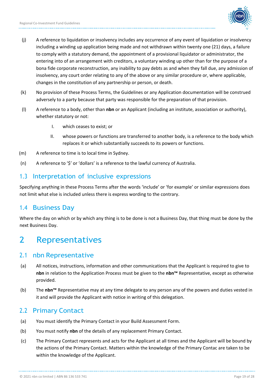

- (j) A reference to liquidation or insolvency includes any occurrence of any event of liquidation or insolvency including a winding up application being made and not withdrawn within twenty one (21) days, a failure to comply with a statutory demand, the appointment of a provisional liquidator or administrator, the entering into of an arrangement with creditors, a voluntary winding up other than for the purpose of a bona fide corporate reconstruction, any inability to pay debts as and when they fall due, any admission of insolvency, any court order relating to any of the above or any similar procedure or, where applicable, changes in the constitution of any partnership or person, or death.
- (k) No provision of these Process Terms, the Guidelines or any Application documentation will be construed adversely to a party because that party was responsible for the preparation of that provision.
- (l) A reference to a body, other than **nbn** or an Applicant (including an institute, association or authority), whether statutory or not:
	- I. which ceases to exist; or
	- II. whose powers or functions are transferred to another body, is a reference to the body which replaces it or which substantially succeeds to its powers or functions.
- (m) A reference to time is to local time in Sydney.
- (n) A reference to '\$' or 'dollars' is a reference to the lawful currency of Australia.

#### 1.3 Interpretation of inclusive expressions

Specifying anything in these Process Terms after the words 'include' or 'for example' or similar expressions does not limit what else is included unless there is express wording to the contrary.

### 1.4 Business Day

Where the day on which or by which any thing is to be done is not a Business Day, that thing must be done by the next Business Day.

## 2 Representatives

#### 2.1 nbn Representative

- (a) All notices, instructions, information and other communications that the Applicant is required to give to **nbn** in relation to the Application Process must be given to the **nbn™** Representative, except as otherwise provided.
- (b) The **nbn™** Representative may at any time delegate to any person any of the powers and duties vested in it and will provide the Applicant with notice in writing of this delegation.

#### 2.2 Primary Contact

- (a) You must identify the Primary Contact in your Build Assessment Form.
- (b) You must notify **nbn** of the details of any replacement Primary Contact.
- (c) The Primary Contact represents and acts for the Applicant at all times and the Applicant will be bound by the actions of the Primary Contact. Matters within the knowledge of the Primary Contac are taken to be within the knowledge of the Applicant.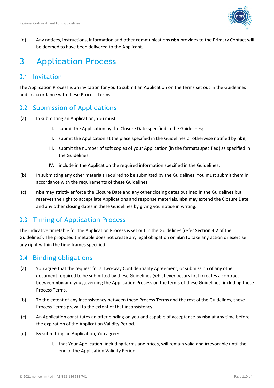

(d) Any notices, instructions, information and other communications **nbn** provides to the Primary Contact will be deemed to have been delivered to the Applicant.

# 3 Application Process

#### 3.1 Invitation

The Application Process is an invitation for you to submit an Application on the terms set out in the Guidelines and in accordance with these Process Terms.

### 3.2 Submission of Applications

- (a) In submitting an Application, You must:
	- I. submit the Application by the Closure Date specified in the Guidelines;
	- II. submit the Application at the place specified in the Guidelines or otherwise notified by **nbn**;
	- III. submit the number of soft copies of your Application (in the formats specified) as specified in the Guidelines;
	- IV. include in the Application the required information specified in the Guidelines.
- (b) In submitting any other materials required to be submitted by the Guidelines, You must submit them in accordance with the requirements of these Guidelines.
- (c) **nbn** may strictly enforce the Closure Date and any other closing dates outlined in the Guidelines but reserves the right to accept late Applications and response materials. **nbn** may extend the Closure Date and any other closing dates in these Guidelines by giving you notice in writing.

## 3.3 Timing of Application Process

The indicative timetable for the Application Process is set out in the Guidelines (refer **Section 3.2** of the Guidelines). The proposed timetable does not create any legal obligation on **nbn** to take any action or exercise any right within the time frames specified.

### 3.4 Binding obligations

- (a) You agree that the request for a Two-way Confidentiality Agreement, or submission of any other document required to be submitted by these Guidelines (whichever occurs first) creates a contract between **nbn** and you governing the Application Process on the terms of these Guidelines, including these Process Terms.
- (b) To the extent of any inconsistency between these Process Terms and the rest of the Guidelines, these Process Terms prevail to the extent of that inconsistency.
- (c) An Application constitutes an offer binding on you and capable of acceptance by **nbn** at any time before the expiration of the Application Validity Period.
- (d) By submitting an Application, You agree:
	- I. that Your Application, including terms and prices, will remain valid and irrevocable until the end of the Application Validity Period;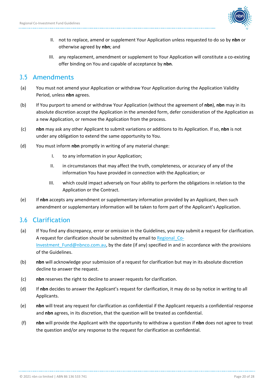

- II. not to replace, amend or supplement Your Application unless requested to do so by **nbn** or otherwise agreed by **nbn**; and
- III. any replacement, amendment or supplement to Your Application will constitute a co-existing offer binding on You and capable of acceptance by **nbn**.

#### 3.5 Amendments

- (a) You must not amend your Application or withdraw Your Application during the Application Validity Period, unless **nbn** agrees.
- (b) If You purport to amend or withdraw Your Application (without the agreement of **nbn**), **nbn** may in its absolute discretion accept the Application in the amended form, defer consideration of the Application as a new Application, or remove the Application from the process.
- (c) **nbn** may ask any other Applicant to submit variations or additions to its Application. If so, **nbn** is not under any obligation to extend the same opportunity to You.
- (d) You must inform **nbn** promptly in writing of any material change:
	- I. to any information in your Application;
	- II. in circumstances that may affect the truth, completeness, or accuracy of any of the information You have provided in connection with the Application; or
	- III. which could impact adversely on Your ability to perform the obligations in relation to the Application or the Contract.
- (e) If **nbn** accepts any amendment or supplementary information provided by an Applicant, then such amendment or supplementary information will be taken to form part of the Applicant's Application.

### 3.6 Clarification

- (a) If You find any discrepancy, error or omission in the Guidelines, you may submit a request for clarification. A request for clarification should be submitted by email to Regional Co-Investment Fund@nbnco.com.au, by the date (if any) specified in and in accordance with the provisions of the Guidelines.
- (b) **nbn** will acknowledge your submission of a request for clarification but may in its absolute discretion decline to answer the request.
- (c) **nbn** reserves the right to decline to answer requests for clarification.
- (d) If **nbn** decides to answer the Applicant's request for clarification, it may do so by notice in writing to all Applicants.
- (e) **nbn** will treat any request for clarification as confidential if the Applicant requests a confidential response and **nbn** agrees, in its discretion, that the question will be treated as confidential.
- (f) **nbn** will provide the Applicant with the opportunity to withdraw a question if **nbn** does not agree to treat the question and/or any response to the request for clarification as confidential.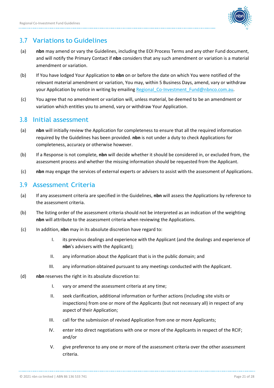

### 3.7 Variations to Guidelines

- (a) **nbn** may amend or vary the Guidelines, including the EOI Process Terms and any other Fund document, and will notify the Primary Contact if **nbn** considers that any such amendment or variation is a material amendment or variation.
- (b) If You have lodged Your Application to **nbn** on or before the date on which You were notified of the relevant material amendment or variation, You may, within 5 Business Days, amend, vary or withdraw your Application by notice in writing by emailing Regional Co-Investment Fund@nbnco.com.au.
- (c) You agree that no amendment or variation will, unless material, be deemed to be an amendment or variation which entitles you to amend, vary or withdraw Your Application.

#### 3.8 Initial assessment

- (a) **nbn** will initially review the Application for completeness to ensure that all the required information required by the Guidelines has been provided. **nbn** is not under a duty to check Applications for completeness, accuracy or otherwise however.
- (b) If a Response is not complete, **nbn** will decide whether it should be considered in, or excluded from, the assessment process and whether the missing information should be requested from the Applicant.
- (c) **nbn** may engage the services of external experts or advisers to assist with the assessment of Applications.

#### 3.9 Assessment Criteria

- (a) If any assessment criteria are specified in the Guidelines, **nbn** will assess the Applications by reference to the assessment criteria.
- (b) The listing order of the assessment criteria should not be interpreted as an indication of the weighting **nbn** will attribute to the assessment criteria when reviewing the Applications.
- (c) In addition, **nbn** may in its absolute discretion have regard to:
	- I. its previous dealings and experience with the Applicant (and the dealings and experience of **nbn**'s advisers with the Applicant);
	- II. any information about the Applicant that is in the public domain; and
	- III. any information obtained pursuant to any meetings conducted with the Applicant.
- (d) **nbn** reserves the right in its absolute discretion to:
	- I. vary or amend the assessment criteria at any time;
	- II. seek clarification, additional information or further actions (including site visits or inspections) from one or more of the Applicants (but not necessary all) in respect of any aspect of their Application;
	- III. call for the submission of revised Application from one or more Applicants;
	- IV. enter into direct negotiations with one or more of the Applicants in respect of the RCIF; and/or
	- V. give preference to any one or more of the assessment criteria over the other assessment criteria.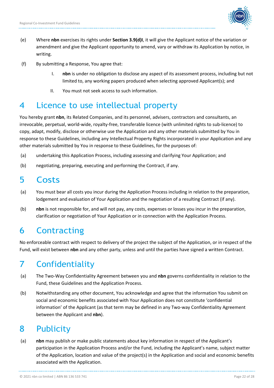

- (e) Where **nbn** exercises its rights under **Section 3.9(d)I**, it will give the Applicant notice of the variation or amendment and give the Applicant opportunity to amend, vary or withdraw its Application by notice, in writing.
- (f) By submitting a Response, You agree that:
	- I. **nbn** is under no obligation to disclose any aspect of its assessment process, including but not limited to, any working papers produced when selecting approved Applicant(s); and
	- II. You must not seek access to such information.

## 4 Licence to use intellectual property

You hereby grant **nbn**, its Related Companies, and its personnel, advisers, contractors and consultants, an irrevocable, perpetual, world-wide, royalty-free, transferable licence (with unlimited rights to sub-licence) to copy, adapt, modify, disclose or otherwise use the Application and any other materials submitted by You in response to these Guidelines, including any Intellectual Property Rights incorporated in your Application and any other materials submitted by You in response to these Guidelines, for the purposes of:

- (a) undertaking this Application Process, including assessing and clarifying Your Application; and
- (b) negotiating, preparing, executing and performing the Contract, if any.

## 5 Costs

- (a) You must bear all costs you incur during the Application Process including in relation to the preparation, lodgement and evaluation of Your Application and the negotiation of a resulting Contract (if any).
- (b) **nbn** is not responsible for, and will not pay, any costs, expenses or losses you incur in the preparation, clarification or negotiation of Your Application or in connection with the Application Process.

# 6 Contracting

No enforceable contract with respect to delivery of the project the subject of the Application, or in respect of the Fund, will exist between **nbn** and any other party, unless and until the parties have signed a written Contract.

# 7 Confidentiality

- (a) The Two-Way Confidentiality Agreement between you and **nbn** governs confidentiality in relation to the Fund, these Guidelines and the Application Process.
- (b) Notwithstanding any other document, You acknowledge and agree that the information You submit on social and economic benefits associated with Your Application does not constitute 'confidential information' of the Applicant (as that term may be defined in any Two-way Confidentiality Agreement between the Applicant and **nbn**).

# 8 Publicity

(a) **nbn** may publish or make public statements about key information in respect of the Applicant's participation in the Application Process and/or the Fund, including the Applicant's name, subject matter of the Application, location and value of the project(s) in the Application and social and economic benefits associated with the Application.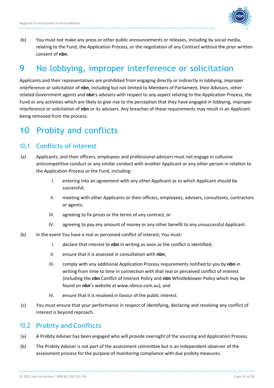

(b) You must not make any press or other public announcements or releases, including by social media, relating to the Fund, the Application Process, or the negotiation of any Contract without the prior written consent of **nbn**.

# 9 No lobbying, improper interference or solicitation

Applicants and their representatives are prohibited from engaging directly or indirectly in lobbying, improper interference or solicitation of **nbn**, including but not limited to Members of Parliament, their Advisors, other related Government agents and **nbn**'s advisers with respect to any aspect relating to the Application Process, the Fund or any activities which are likely to give rise to the perception that they have engaged in lobbying, improper interference or solicitation of **nbn** or its advisers. Any breaches of these requirements may result in an Applicant being removed from the process.

# 10 Probity and conflicts

#### 10.1 Conflicts of Interest

- (a) Applicants, and their officers, employees and professional advisors must not engage in collusive anticompetitive conduct or any similar conduct with another Applicant or any other person in relation to the Application Process or the Fund, including:
	- I. entering into an agreement with any other Applicant as to which Applicant should be successful;
	- II. meeting with other Applicants or their officers, employees, advisers, consultants, contractors or agents;
	- III. agreeing to fix prices or the terms of any contract; or
	- IV. agreeing to pay any amount of money or any other benefit to any unsuccessful Applicant.
- (b) In the event You have a real or perceived conflict of interest, You must:
	- I. declare that interest to **nbn** in writing as soon as the conflict is identified;
	- II. ensure that it is assessed in consultation with **nbn**;
	- III. comply with any additional Application Process requirements notified to you by **nbn** in writing from time to time in connection with that real or perceived conflict of interest (including the **nbn** Conflict of Interest Policy and **nbn** Whistleblower Policy which may be found on **nbn**'s website at www.nbnco.com.au); and
	- IV. ensure that it is resolved in favour of the public interest.
- (c) You must ensure that your performance in respect of identifying, declaring and resolving any conflict of interest is beyond reproach.

#### 10.2 Probity and Conflicts

- (a) A Probity Adviser has been engaged who will provide oversight of the sourcing and Application Process.
- (b) The Probity Adviser is not part of the assessment committee but is an independent observer of the assessment process for the purpose of monitoring compliance with due probity measures.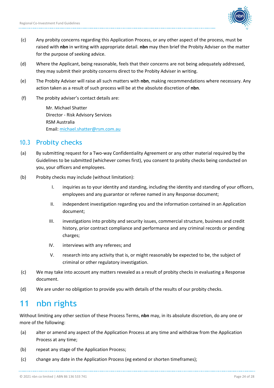

- (c) Any probity concerns regarding this Application Process, or any other aspect of the process, must be raised with **nbn** in writing with appropriate detail. **nbn** may then brief the Probity Adviser on the matter for the purpose of seeking advice.
- (d) Where the Applicant, being reasonable, feels that their concerns are not being adequately addressed, they may submit their probity concerns direct to the Probity Adviser in writing.
- (e) The Probity Adviser will raise all such matters with **nbn**, making recommendations where necessary. Any action taken as a result of such process will be at the absolute discretion of **nbn**.
- (f) The probity adviser's contact details are:

Mr. Michael Shatter Director - Risk Advisory Services RSM Australia Email[: michael.shatter@rsm.com.au](mailto:michael.shatter@rsm.com.au)

#### 10.3 Probity checks

- (a) By submitting request for a Two-way Confidentiality Agreement or any other material required by the Guidelines to be submitted (whichever comes first), you consent to probity checks being conducted on you, your officers and employees.
- (b) Probity checks may include (without limitation):
	- I. inquiries as to your identity and standing, including the identity and standing of your officers, employees and any guarantor or referee named in any Response document;
	- II. independent investigation regarding you and the information contained in an Application document;
	- III. investigations into probity and security issues, commercial structure, business and credit history, prior contract compliance and performance and any criminal records or pending charges;
	- IV. interviews with any referees; and
	- V. research into any activity that is, or might reasonably be expected to be, the subject of criminal or other regulatory investigation.
- (c) We may take into account any matters revealed as a result of probity checks in evaluating a Response document.
- (d) We are under no obligation to provide you with details of the results of our probity checks.

## 11 nbn rights

Without limiting any other section of these Process Terms, **nbn** may, in its absolute discretion, do any one or more of the following:

- (a) alter or amend any aspect of the Application Process at any time and withdraw from the Application Process at any time;
- (b) repeat any stage of the Application Process;
- (c) change any date in the Application Process (eg extend or shorten timeframes);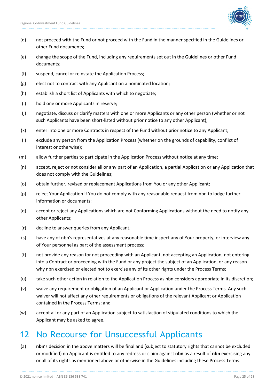

- (d) not proceed with the Fund or not proceed with the Fund in the manner specified in the Guidelines or other Fund documents;
- (e) change the scope of the Fund, including any requirements set out in the Guidelines or other Fund documents;
- (f) suspend, cancel or reinstate the Application Process;
- (g) elect not to contract with any Applicant on a nominated location;
- (h) establish a short list of Applicants with which to negotiate;
- (i) hold one or more Applicants in reserve;
- (j) negotiate, discuss or clarify matters with one or more Applicants or any other person (whether or not such Applicants have been short-listed without prior notice to any other Applicant);
- (k) enter into one or more Contracts in respect of the Fund without prior notice to any Applicant;
- (l) exclude any person from the Application Process (whether on the grounds of capability, conflict of interest or otherwise);
- (m) allow further parties to participate in the Application Process without notice at any time;
- (n) accept, reject or not consider all or any part of an Application, a partial Application or any Application that does not comply with the Guidelines;
- (o) obtain further, revised or replacement Applications from You or any other Applicant;
- (p) reject Your Application if You do not comply with any reasonable request from nbn to lodge further information or documents;
- (q) accept or reject any Applications which are not Conforming Applications without the need to notify any other Applicants;
- (r) decline to answer queries from any Applicant;
- (s) have any of nbn's representatives at any reasonable time inspect any of Your property, or interview any of Your personnel as part of the assessment process;
- (t) not provide any reason for not proceeding with an Applicant, not accepting an Application, not entering into a Contract or proceeding with the Fund or any project the subject of an Application, or any reason why nbn exercised or elected not to exercise any of its other rights under the Process Terms;
- (u) take such other action in relation to the Application Process as nbn considers appropriate in its discretion;
- (v) waive any requirement or obligation of an Applicant or Application under the Process Terms. Any such waiver will not affect any other requirements or obligations of the relevant Applicant or Application contained in the Process Terms; and
- (w) accept all or any part of an Application subject to satisfaction of stipulated conditions to which the Applicant may be asked to agree.

## 12 No Recourse for Unsuccessful Applicants

(a) **nbn**'s decision in the above matters will be final and (subject to statutory rights that cannot be excluded or modified) no Applicant is entitled to any redress or claim against **nbn** as a result of **nbn** exercising any or all of its rights as mentioned above or otherwise in the Guidelines including these Process Terms.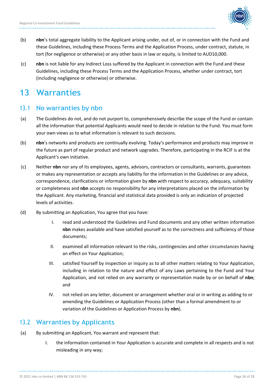

- (b) **nbn**'s total aggregate liability to the Applicant arising under, out of, or in connection with the Fund and these Guidelines, including these Process Terms and the Application Process, under contract, statute, in tort (for negligence or otherwise) or any other basis in law or equity, is limited to AUD10,000.
- (c) **nbn** is not liable for any Indirect Loss suffered by the Applicant in connection with the Fund and these Guidelines, including these Process Terms and the Application Process, whether under contract, tort (including negligence or otherwise) or otherwise.

## 13 Warranties

#### 13.1 No warranties by nbn

- (a) The Guidelines do not, and do not purport to, comprehensively describe the scope of the Fund or contain all the information that potential Applicants would need to decide in relation to the Fund. You must form your own views as to what information is relevant to such decisions.
- (b) **nbn**'s networks and products are continually evolving. Today's performance and products may improve in the future as part of regular product and network upgrades. Therefore, participating in the RCIF is at the Applicant's own initiative.
- (c) Neither **nbn** nor any of its employees, agents, advisors, contractors or consultants, warrants, guarantees or makes any representation or accepts any liability for the information in the Guidelines or any advice, correspondence, clarifications or information given by **nbn** with respect to accuracy, adequacy, suitability or completeness and **nbn** accepts no responsibility for any interpretations placed on the information by the Applicant. Any marketing, financial and statistical data provided is only an indication of projected levels of activities.
- (d) By submitting an Application, You agree that you have:
	- I. read and understood the Guidelines and Fund documents and any other written information **nbn** makes available and have satisfied yourself as to the correctness and sufficiency of those documents;
	- II. examined all information relevant to the risks, contingencies and other circumstances having an effect on Your Application;
	- III. satisfied Yourself by inspection or inquiry as to all other matters relating to Your Application, including in relation to the nature and effect of any Laws pertaining to the Fund and Your Application, and not relied on any warranty or representation made by or on behalf of **nbn**; and
	- IV. not relied on any letter, document or arrangement whether oral or in writing as adding to or amending the Guidelines or Application Process (other than a formal amendment to or variation of the Guidelines or Application Process by **nbn**).

### 13.2 Warranties by Applicants

- (a) By submitting an Applicant, You warrant and represent that:
	- I. the information contained in Your Application is accurate and complete in all respects and is not misleading in any way;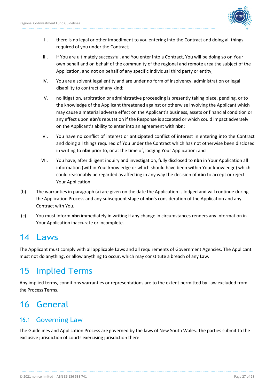

- II. there is no legal or other impediment to you entering into the Contract and doing all things required of you under the Contract;
- III. if You are ultimately successful, and You enter into a Contract, You will be doing so on Your own behalf and on behalf of the community of the regional and remote area the subject of the Application, and not on behalf of any specific individual third party or entity;
- IV. You are a solvent legal entity and are under no form of insolvency, administration or legal disability to contract of any kind;
- V. no litigation, arbitration or administrative proceeding is presently taking place, pending, or to the knowledge of the Applicant threatened against or otherwise involving the Applicant which may cause a material adverse effect on the Applicant's business, assets or financial condition or any effect upon **nbn**'s reputation if the Response is accepted or which could impact adversely on the Applicant's ability to enter into an agreement with **nbn**;
- VI. You have no conflict of interest or anticipated conflict of interest in entering into the Contract and doing all things required of You under the Contract which has not otherwise been disclosed in writing to **nbn** prior to, or at the time of, lodging Your Application; and
- VII. You have, after diligent inquiry and investigation, fully disclosed to **nbn** in Your Application all information (within Your knowledge or which should have been within Your knowledge) which could reasonably be regarded as affecting in any way the decision of **nbn** to accept or reject Your Application.
- (b) The warranties in paragraph (a) are given on the date the Application is lodged and will continue during the Application Process and any subsequent stage of **nbn**'s consideration of the Application and any Contract with You.
- (c) You must inform **nbn** immediately in writing if any change in circumstances renders any information in Your Application inaccurate or incomplete.

# 14 Laws

The Applicant must comply with all applicable Laws and all requirements of Government Agencies. The Applicant must not do anything, or allow anything to occur, which may constitute a breach of any Law.

# 15 Implied Terms

Any implied terms, conditions warranties or representations are to the extent permitted by Law excluded from the Process Terms.

# 16 General

## 16.1 Governing Law

The Guidelines and Application Process are governed by the laws of New South Wales. The parties submit to the exclusive jurisdiction of courts exercising jurisdiction there.